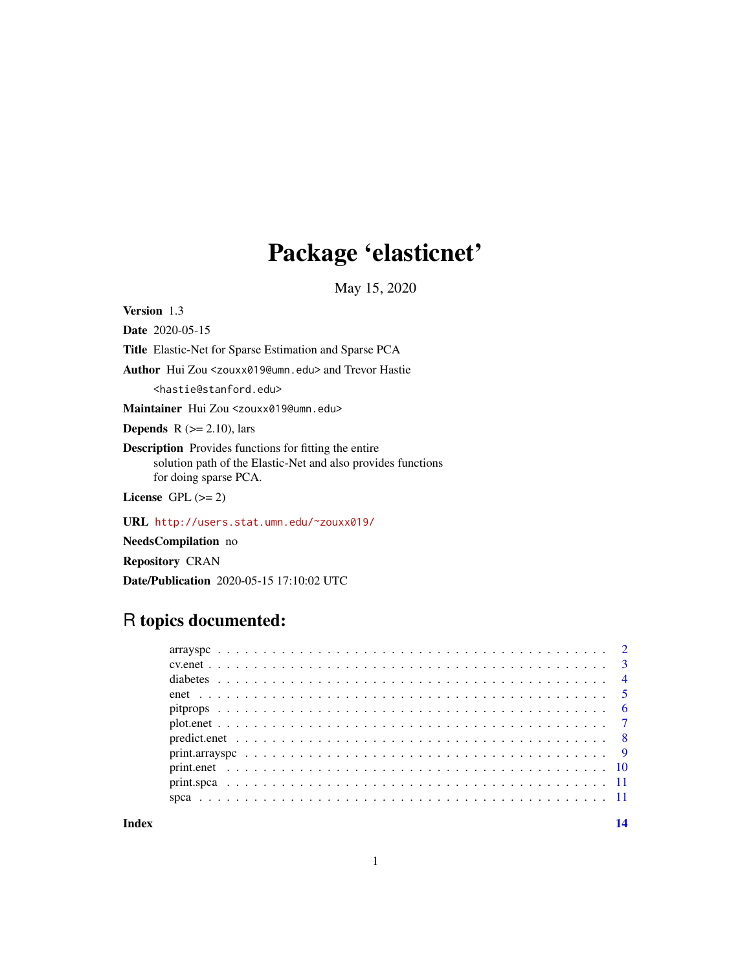## Package 'elasticnet'

May 15, 2020

Version 1.3

Date 2020-05-15 Title Elastic-Net for Sparse Estimation and Sparse PCA Author Hui Zou <zouxx019@umn.edu> and Trevor Hastie <hastie@stanford.edu> Maintainer Hui Zou <zouxx019@umn.edu> **Depends** R  $(>= 2.10)$ , lars Description Provides functions for fitting the entire solution path of the Elastic-Net and also provides functions for doing sparse PCA. License GPL  $(>= 2)$ 

URL <http://users.stat.umn.edu/~zouxx019/>

NeedsCompilation no

Repository CRAN

Date/Publication 2020-05-15 17:10:02 UTC

### R topics documented:

**Index** 2008 **[14](#page-13-0)**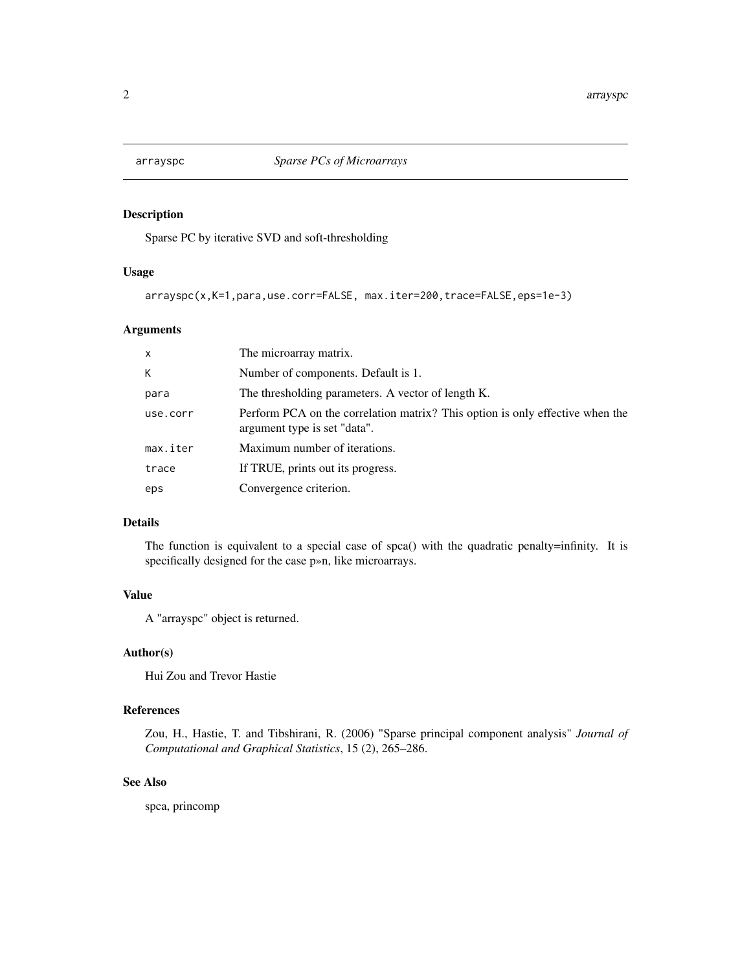<span id="page-1-0"></span>

Sparse PC by iterative SVD and soft-thresholding

#### Usage

arrayspc(x,K=1,para,use.corr=FALSE, max.iter=200,trace=FALSE,eps=1e-3)

#### Arguments

| $\times$ | The microarray matrix.                                                                                        |
|----------|---------------------------------------------------------------------------------------------------------------|
| K        | Number of components. Default is 1.                                                                           |
| para     | The thresholding parameters. A vector of length K.                                                            |
| use.corr | Perform PCA on the correlation matrix? This option is only effective when the<br>argument type is set "data". |
| max.iter | Maximum number of iterations.                                                                                 |
| trace    | If TRUE, prints out its progress.                                                                             |
| eps      | Convergence criterion.                                                                                        |

#### Details

The function is equivalent to a special case of spca() with the quadratic penalty=infinity. It is specifically designed for the case p»n, like microarrays.

#### Value

A "arrayspc" object is returned.

#### Author(s)

Hui Zou and Trevor Hastie

#### References

Zou, H., Hastie, T. and Tibshirani, R. (2006) "Sparse principal component analysis" *Journal of Computational and Graphical Statistics*, 15 (2), 265–286.

#### See Also

spca, princomp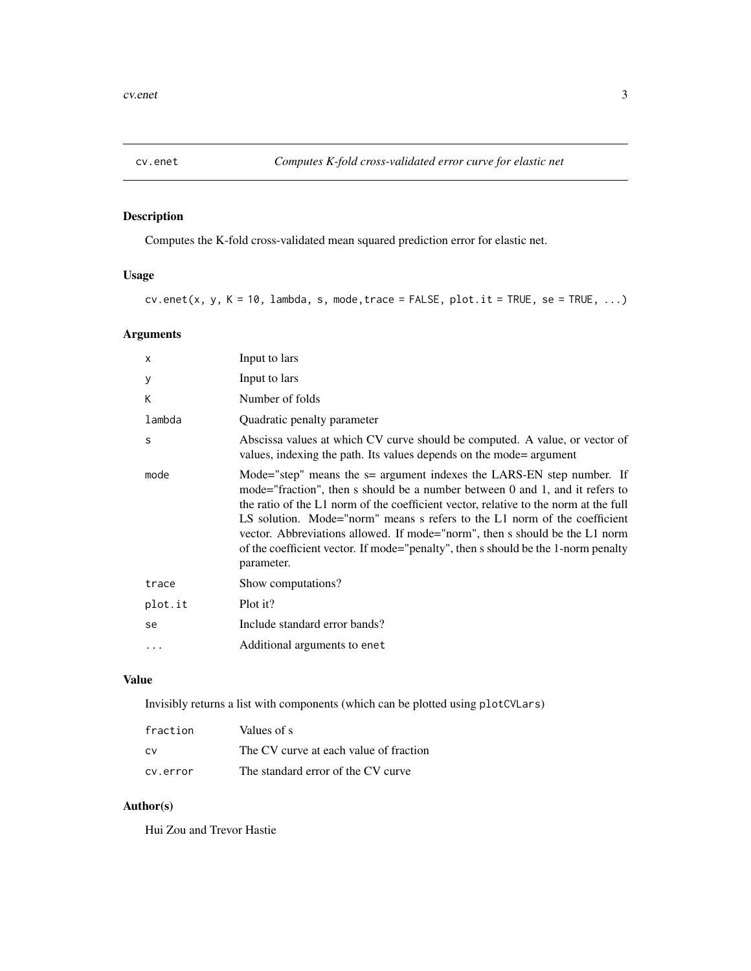<span id="page-2-0"></span>

Computes the K-fold cross-validated mean squared prediction error for elastic net.

#### Usage

 $cv.\text{enet}(x, y, K = 10, \text{ lambda}, s, mode, trace = FALSE, plot.it = TRUE, se = TRUE, ...)$ 

#### Arguments

| X       | Input to lars                                                                                                                                                                                                                                                                                                                                                                                                                                                                                                |
|---------|--------------------------------------------------------------------------------------------------------------------------------------------------------------------------------------------------------------------------------------------------------------------------------------------------------------------------------------------------------------------------------------------------------------------------------------------------------------------------------------------------------------|
| У       | Input to lars                                                                                                                                                                                                                                                                                                                                                                                                                                                                                                |
| К       | Number of folds                                                                                                                                                                                                                                                                                                                                                                                                                                                                                              |
| lambda  | Quadratic penalty parameter                                                                                                                                                                                                                                                                                                                                                                                                                                                                                  |
| S       | Abscissa values at which CV curve should be computed. A value, or vector of<br>values, indexing the path. Its values depends on the mode= argument                                                                                                                                                                                                                                                                                                                                                           |
| mode    | Mode="step" means the s= argument indexes the LARS-EN step number. If<br>mode="fraction", then s should be a number between 0 and 1, and it refers to<br>the ratio of the L1 norm of the coefficient vector, relative to the norm at the full<br>LS solution. Mode="norm" means s refers to the L1 norm of the coefficient<br>vector. Abbreviations allowed. If mode="norm", then s should be the L1 norm<br>of the coefficient vector. If mode="penalty", then s should be the 1-norm penalty<br>parameter. |
| trace   | Show computations?                                                                                                                                                                                                                                                                                                                                                                                                                                                                                           |
| plot.it | Plot it?                                                                                                                                                                                                                                                                                                                                                                                                                                                                                                     |
| se      | Include standard error bands?                                                                                                                                                                                                                                                                                                                                                                                                                                                                                |
|         | Additional arguments to enet                                                                                                                                                                                                                                                                                                                                                                                                                                                                                 |
|         |                                                                                                                                                                                                                                                                                                                                                                                                                                                                                                              |

#### Value

Invisibly returns a list with components (which can be plotted using plotCVLars)

| fraction | Values of s                            |
|----------|----------------------------------------|
| CV.      | The CV curve at each value of fraction |
| cy.error | The standard error of the CV curve     |

#### Author(s)

Hui Zou and Trevor Hastie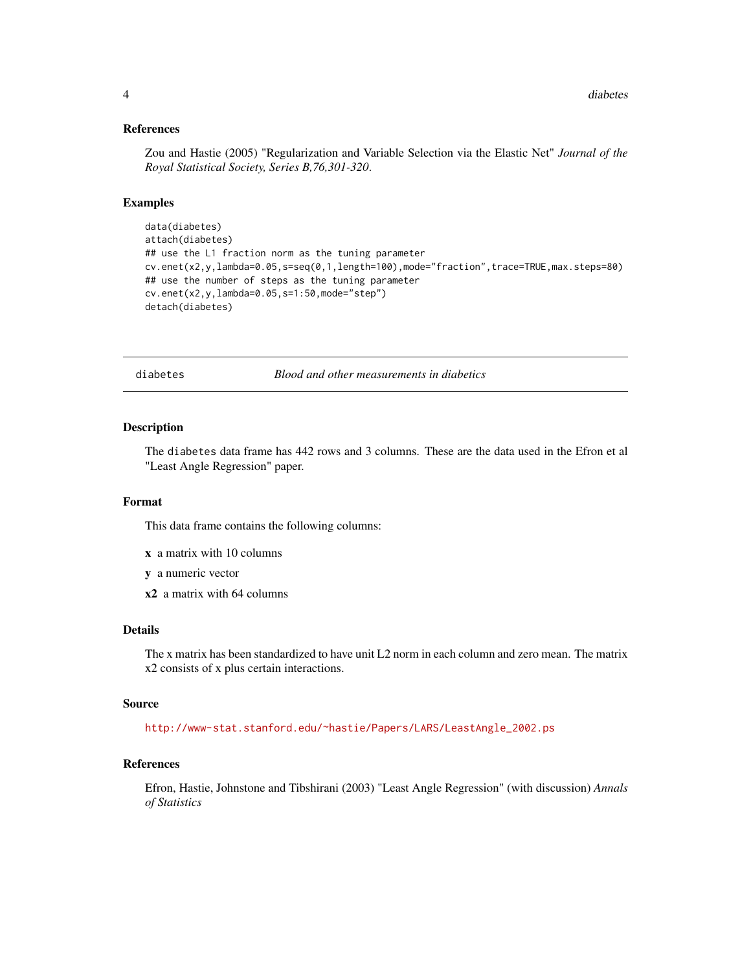#### <span id="page-3-0"></span>References

Zou and Hastie (2005) "Regularization and Variable Selection via the Elastic Net" *Journal of the Royal Statistical Society, Series B,76,301-320*.

#### Examples

```
data(diabetes)
attach(diabetes)
## use the L1 fraction norm as the tuning parameter
cv.enet(x2,y,lambda=0.05,s=seq(0,1,length=100),mode="fraction",trace=TRUE,max.steps=80)
## use the number of steps as the tuning parameter
cv.enet(x2,y,lambda=0.05,s=1:50,mode="step")
detach(diabetes)
```
diabetes *Blood and other measurements in diabetics*

#### Description

The diabetes data frame has 442 rows and 3 columns. These are the data used in the Efron et al "Least Angle Regression" paper.

#### Format

This data frame contains the following columns:

- x a matrix with 10 columns
- y a numeric vector
- x2 a matrix with 64 columns

#### Details

The x matrix has been standardized to have unit L2 norm in each column and zero mean. The matrix x2 consists of x plus certain interactions.

#### Source

[http://www-stat.stanford.edu/~hastie/Papers/LARS/LeastAngle\\_2002.ps](http://www-stat.stanford.edu/~hastie/Papers/LARS/LeastAngle_2002.ps)

#### References

Efron, Hastie, Johnstone and Tibshirani (2003) "Least Angle Regression" (with discussion) *Annals of Statistics*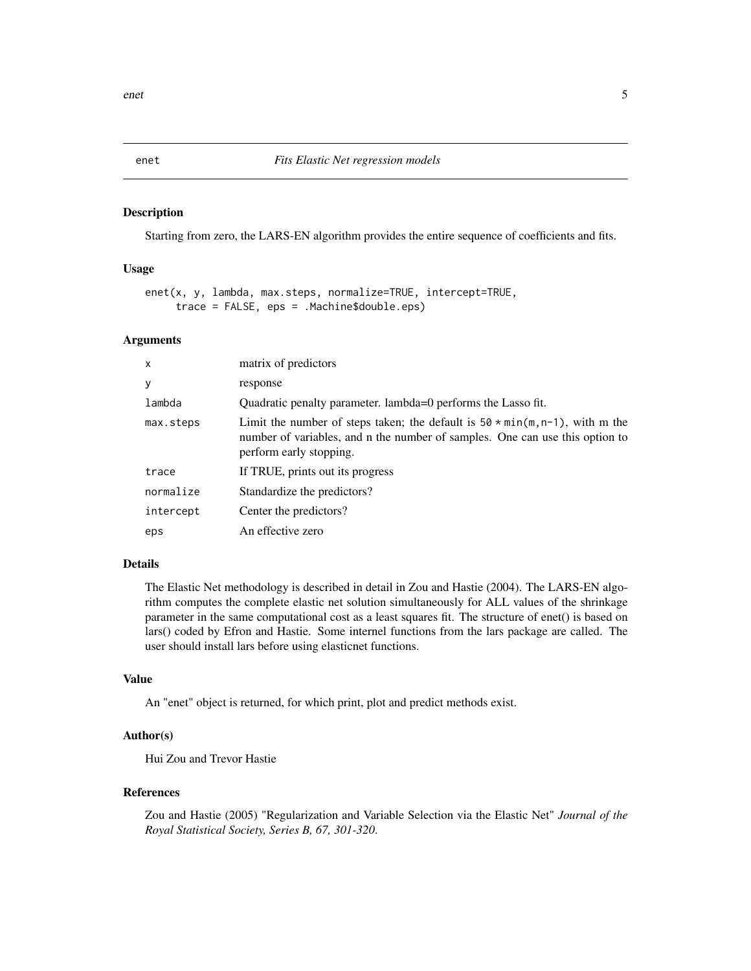<span id="page-4-0"></span>

Starting from zero, the LARS-EN algorithm provides the entire sequence of coefficients and fits.

#### Usage

```
enet(x, y, lambda, max.steps, normalize=TRUE, intercept=TRUE,
     trace = FALSE, eps = .Machine$double.eps)
```
#### Arguments

| x         | matrix of predictors                                                                                                                                                                            |
|-----------|-------------------------------------------------------------------------------------------------------------------------------------------------------------------------------------------------|
| У         | response                                                                                                                                                                                        |
| lambda    | Quadratic penalty parameter. lambda=0 performs the Lasso fit.                                                                                                                                   |
| max.steps | Limit the number of steps taken; the default is $50 \times min(m, n-1)$ , with m the<br>number of variables, and n the number of samples. One can use this option to<br>perform early stopping. |
| trace     | If TRUE, prints out its progress                                                                                                                                                                |
| normalize | Standardize the predictors?                                                                                                                                                                     |
| intercept | Center the predictors?                                                                                                                                                                          |
| eps       | An effective zero                                                                                                                                                                               |

#### Details

The Elastic Net methodology is described in detail in Zou and Hastie (2004). The LARS-EN algorithm computes the complete elastic net solution simultaneously for ALL values of the shrinkage parameter in the same computational cost as a least squares fit. The structure of enet() is based on lars() coded by Efron and Hastie. Some internel functions from the lars package are called. The user should install lars before using elasticnet functions.

#### Value

An "enet" object is returned, for which print, plot and predict methods exist.

#### Author(s)

Hui Zou and Trevor Hastie

#### References

Zou and Hastie (2005) "Regularization and Variable Selection via the Elastic Net" *Journal of the Royal Statistical Society, Series B, 67, 301-320*.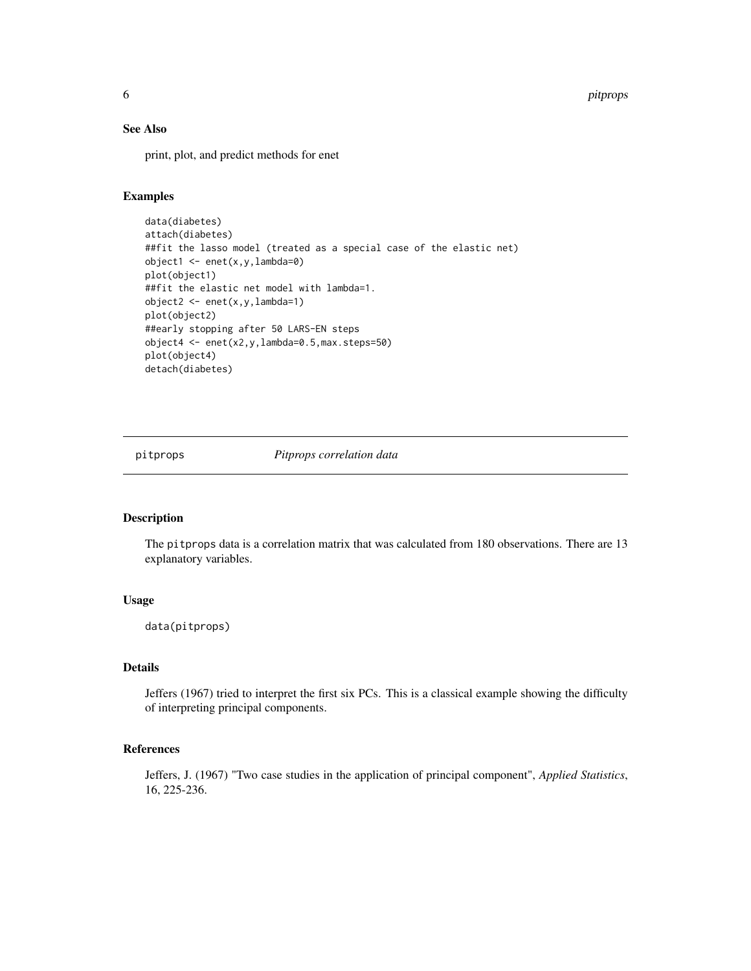<span id="page-5-0"></span>6 pitprops of the contract of the contract of the contract of the contract of the contract of the contract of the contract of the contract of the contract of the contract of the contract of the contract of the contract of

#### See Also

print, plot, and predict methods for enet

#### Examples

```
data(diabetes)
attach(diabetes)
##fit the lasso model (treated as a special case of the elastic net)
object1 <- enet(x,y,lambda=0)
plot(object1)
##fit the elastic net model with lambda=1.
object2 <- enet(x,y,lambda=1)
plot(object2)
##early stopping after 50 LARS-EN steps
object4 <- enet(x2,y,lambda=0.5,max.steps=50)
plot(object4)
detach(diabetes)
```
pitprops *Pitprops correlation data*

#### Description

The pitprops data is a correlation matrix that was calculated from 180 observations. There are 13 explanatory variables.

#### Usage

data(pitprops)

#### Details

Jeffers (1967) tried to interpret the first six PCs. This is a classical example showing the difficulty of interpreting principal components.

#### References

Jeffers, J. (1967) "Two case studies in the application of principal component", *Applied Statistics*, 16, 225-236.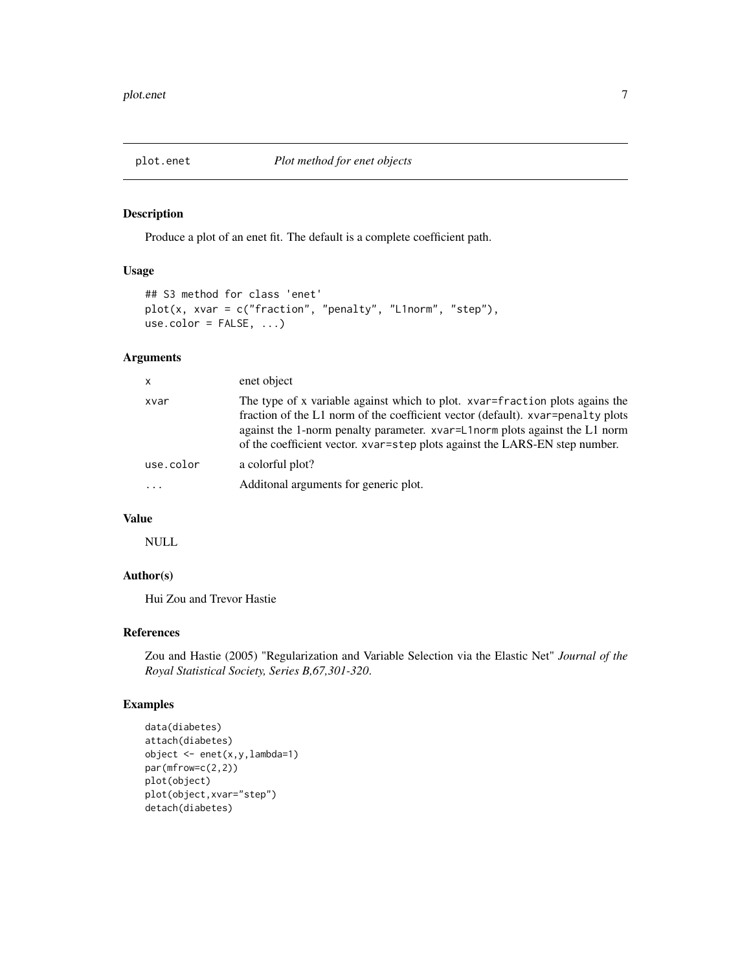<span id="page-6-0"></span>

Produce a plot of an enet fit. The default is a complete coefficient path.

#### Usage

```
## S3 method for class 'enet'
plot(x, xvar = c("fraction", "penalty", "L1norm", "step"),
use.color = FALSE, ...)
```
#### Arguments

| $\mathsf{x}$ | enet object                                                                                                                                                                                                                                                                                                                   |
|--------------|-------------------------------------------------------------------------------------------------------------------------------------------------------------------------------------------------------------------------------------------------------------------------------------------------------------------------------|
| xvar         | The type of x variable against which to plot. xvar=fraction plots agains the<br>fraction of the L1 norm of the coefficient vector (default). xvar-penalty plots<br>against the 1-norm penalty parameter. xvar=L1norm plots against the L1 norm<br>of the coefficient vector. xvar=step plots against the LARS-EN step number. |
| use.color    | a colorful plot?                                                                                                                                                                                                                                                                                                              |
|              | Additional arguments for generic plot.                                                                                                                                                                                                                                                                                        |

#### Value

NULL

#### Author(s)

Hui Zou and Trevor Hastie

#### References

Zou and Hastie (2005) "Regularization and Variable Selection via the Elastic Net" *Journal of the Royal Statistical Society, Series B,67,301-320*.

#### Examples

```
data(diabetes)
attach(diabetes)
object <- enet(x,y,lambda=1)
par(mfrow=c(2,2))
plot(object)
plot(object,xvar="step")
detach(diabetes)
```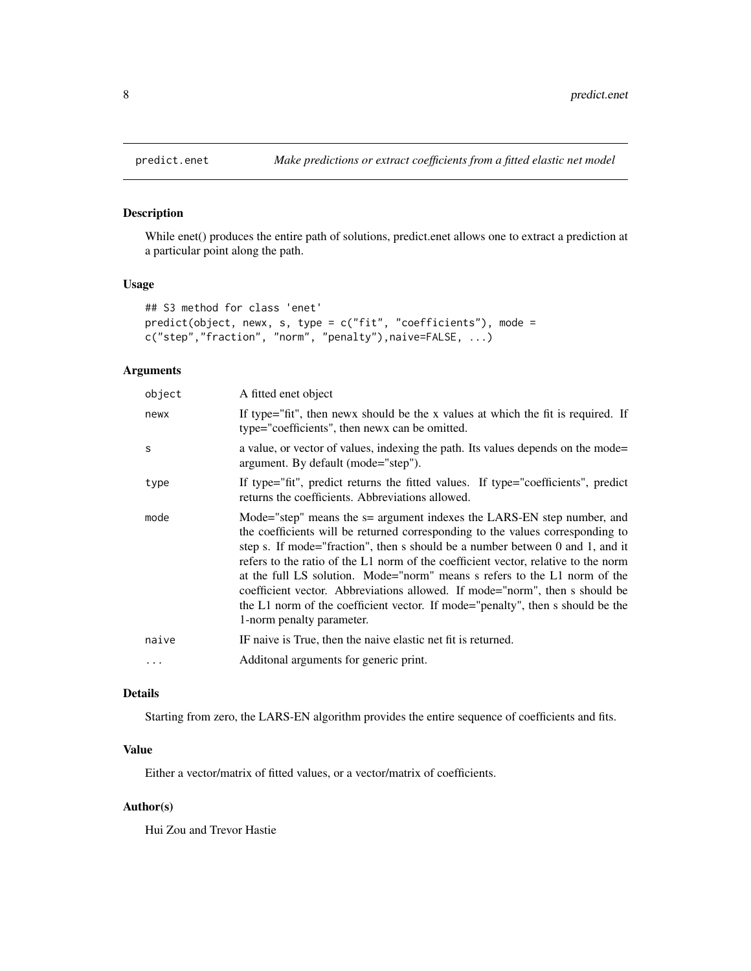While enet() produces the entire path of solutions, predict.enet allows one to extract a prediction at a particular point along the path.

#### Usage

```
## S3 method for class 'enet'
predict(object, newx, s, type = c("fit", "coefficients"), mode =
c("step","fraction", "norm", "penalty"),naive=FALSE, ...)
```
#### Arguments

| object   | A fitted enet object                                                                                                                                                                                                                                                                                                                                                                                                                                                                                                                                                                                          |
|----------|---------------------------------------------------------------------------------------------------------------------------------------------------------------------------------------------------------------------------------------------------------------------------------------------------------------------------------------------------------------------------------------------------------------------------------------------------------------------------------------------------------------------------------------------------------------------------------------------------------------|
| newx     | If type="fit", then news should be the x values at which the fit is required. If<br>type="coefficients", then news can be omitted.                                                                                                                                                                                                                                                                                                                                                                                                                                                                            |
| S        | a value, or vector of values, indexing the path. Its values depends on the mode=<br>argument. By default (mode="step").                                                                                                                                                                                                                                                                                                                                                                                                                                                                                       |
| type     | If type="fit", predict returns the fitted values. If type="coefficients", predict<br>returns the coefficients. Abbreviations allowed.                                                                                                                                                                                                                                                                                                                                                                                                                                                                         |
| mode     | Mode="step" means the $s$ = argument indexes the LARS-EN step number, and<br>the coefficients will be returned corresponding to the values corresponding to<br>step s. If mode="fraction", then s should be a number between 0 and 1, and it<br>refers to the ratio of the L1 norm of the coefficient vector, relative to the norm<br>at the full LS solution. Mode="norm" means s refers to the L1 norm of the<br>coefficient vector. Abbreviations allowed. If mode="norm", then s should be<br>the L1 norm of the coefficient vector. If mode="penalty", then s should be the<br>1-norm penalty parameter. |
| naive    | IF naive is True, then the naive elastic net fit is returned.                                                                                                                                                                                                                                                                                                                                                                                                                                                                                                                                                 |
| $\cdots$ | Additonal arguments for generic print.                                                                                                                                                                                                                                                                                                                                                                                                                                                                                                                                                                        |
|          |                                                                                                                                                                                                                                                                                                                                                                                                                                                                                                                                                                                                               |

#### Details

Starting from zero, the LARS-EN algorithm provides the entire sequence of coefficients and fits.

#### Value

Either a vector/matrix of fitted values, or a vector/matrix of coefficients.

#### Author(s)

Hui Zou and Trevor Hastie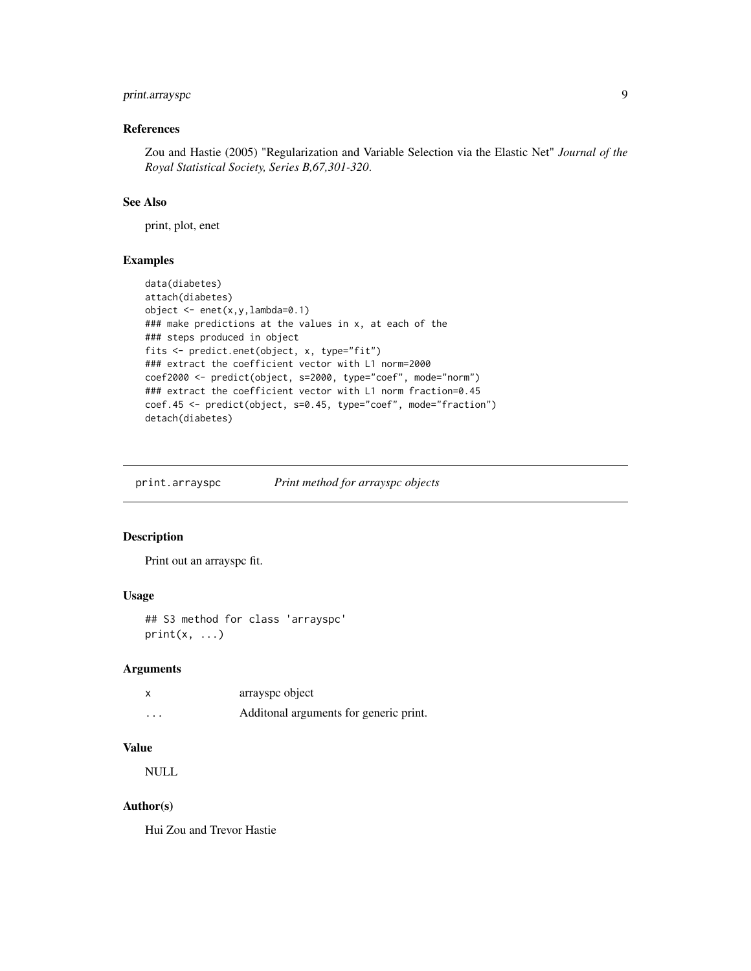#### <span id="page-8-0"></span>print.arrayspc 9

#### References

Zou and Hastie (2005) "Regularization and Variable Selection via the Elastic Net" *Journal of the Royal Statistical Society, Series B,67,301-320*.

#### See Also

print, plot, enet

#### Examples

```
data(diabetes)
attach(diabetes)
object \leq enet(x, y, lambda=0.1)
### make predictions at the values in x, at each of the
### steps produced in object
fits <- predict.enet(object, x, type="fit")
### extract the coefficient vector with L1 norm=2000
coef2000 <- predict(object, s=2000, type="coef", mode="norm")
### extract the coefficient vector with L1 norm fraction=0.45
coef.45 <- predict(object, s=0.45, type="coef", mode="fraction")
detach(diabetes)
```
print.arrayspc *Print method for arrayspc objects*

#### Description

Print out an arrayspc fit.

#### Usage

## S3 method for class 'arrayspc'  $print(x, \ldots)$ 

#### Arguments

|         | arrayspc object                         |
|---------|-----------------------------------------|
| $\cdot$ | Additional arguments for generic print. |

#### Value

NULL

#### Author(s)

Hui Zou and Trevor Hastie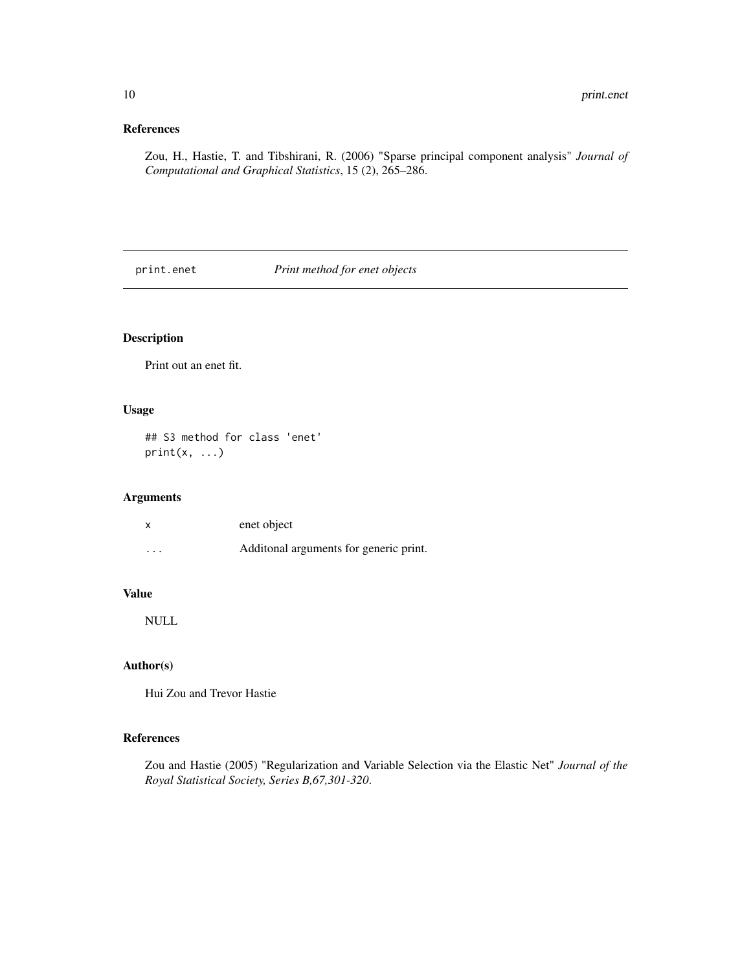#### <span id="page-9-0"></span>References

Zou, H., Hastie, T. and Tibshirani, R. (2006) "Sparse principal component analysis" *Journal of Computational and Graphical Statistics*, 15 (2), 265–286.

print.enet *Print method for enet objects*

#### Description

Print out an enet fit.

#### Usage

## S3 method for class 'enet'  $print(x, \ldots)$ 

#### Arguments

|          | enet object                             |
|----------|-----------------------------------------|
| $\cdots$ | Additional arguments for generic print. |

#### Value

NULL

#### Author(s)

Hui Zou and Trevor Hastie

#### References

Zou and Hastie (2005) "Regularization and Variable Selection via the Elastic Net" *Journal of the Royal Statistical Society, Series B,67,301-320*.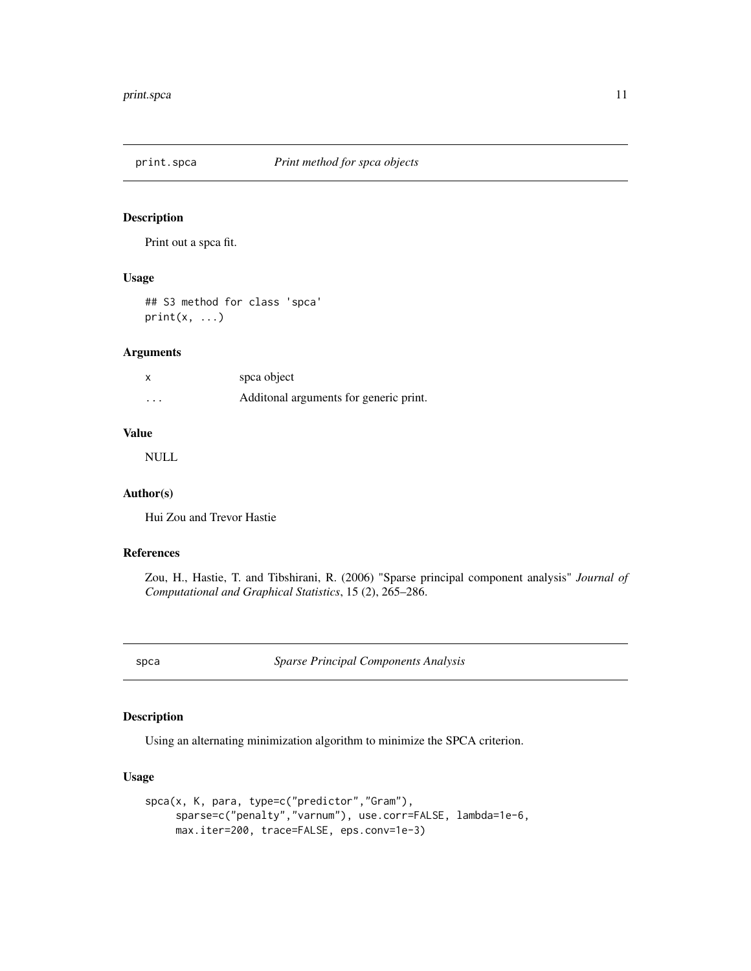<span id="page-10-0"></span>

Print out a spca fit.

#### Usage

## S3 method for class 'spca'  $print(x, \ldots)$ 

#### Arguments

| $\boldsymbol{\mathsf{x}}$ | spca object                             |
|---------------------------|-----------------------------------------|
| $\cdots$                  | Additional arguments for generic print. |

#### Value

NULL

#### Author(s)

Hui Zou and Trevor Hastie

#### References

Zou, H., Hastie, T. and Tibshirani, R. (2006) "Sparse principal component analysis" *Journal of Computational and Graphical Statistics*, 15 (2), 265–286.

spca *Sparse Principal Components Analysis*

#### Description

Using an alternating minimization algorithm to minimize the SPCA criterion.

#### Usage

```
spca(x, K, para, type=c("predictor","Gram"),
     sparse=c("penalty","varnum"), use.corr=FALSE, lambda=1e-6,
    max.iter=200, trace=FALSE, eps.conv=1e-3)
```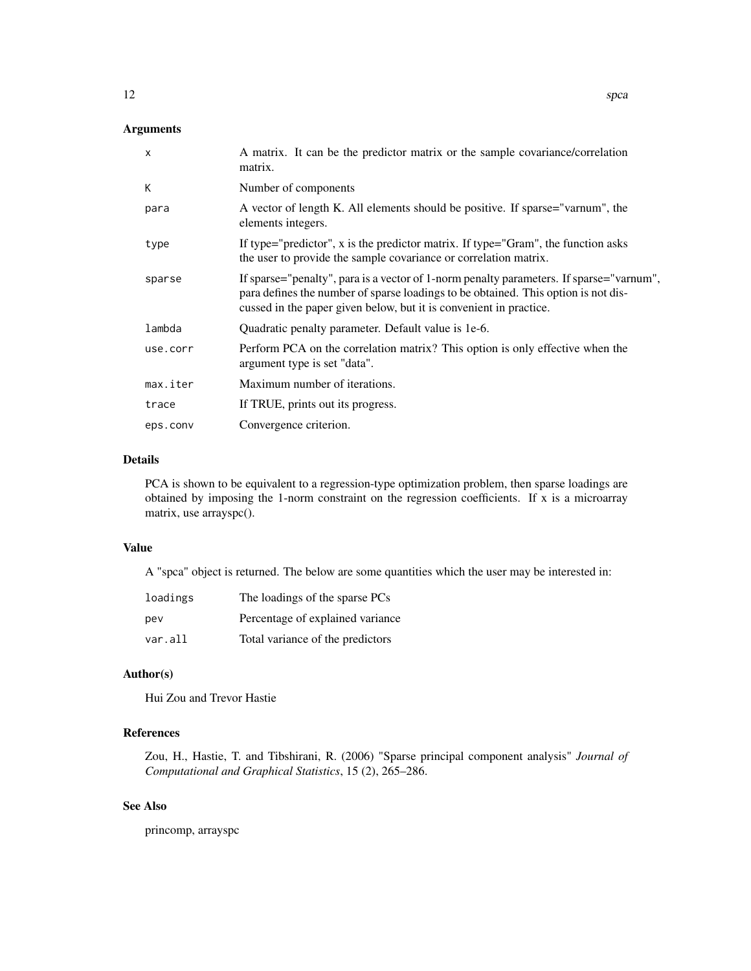#### Arguments

| $\mathsf{x}$ | A matrix. It can be the predictor matrix or the sample covariance/correlation<br>matrix.                                                                                                                                                            |
|--------------|-----------------------------------------------------------------------------------------------------------------------------------------------------------------------------------------------------------------------------------------------------|
| K            | Number of components                                                                                                                                                                                                                                |
| para         | A vector of length K. All elements should be positive. If sparse="varnum", the<br>elements integers.                                                                                                                                                |
| type         | If type="predictor", x is the predictor matrix. If type="Gram", the function asks<br>the user to provide the sample covariance or correlation matrix.                                                                                               |
| sparse       | If sparse="penalty", para is a vector of 1-norm penalty parameters. If sparse="varnum",<br>para defines the number of sparse loadings to be obtained. This option is not dis-<br>cussed in the paper given below, but it is convenient in practice. |
| lambda       | Quadratic penalty parameter. Default value is 1e-6.                                                                                                                                                                                                 |
| use.corr     | Perform PCA on the correlation matrix? This option is only effective when the<br>argument type is set "data".                                                                                                                                       |
| max.iter     | Maximum number of iterations.                                                                                                                                                                                                                       |
| trace        | If TRUE, prints out its progress.                                                                                                                                                                                                                   |
| eps.conv     | Convergence criterion.                                                                                                                                                                                                                              |

#### Details

PCA is shown to be equivalent to a regression-type optimization problem, then sparse loadings are obtained by imposing the 1-norm constraint on the regression coefficients. If x is a microarray matrix, use arrayspc().

#### Value

A "spca" object is returned. The below are some quantities which the user may be interested in:

| loadings | The loadings of the sparse PCs   |
|----------|----------------------------------|
| pev      | Percentage of explained variance |
| var.all  | Total variance of the predictors |

#### Author(s)

Hui Zou and Trevor Hastie

#### References

Zou, H., Hastie, T. and Tibshirani, R. (2006) "Sparse principal component analysis" *Journal of Computational and Graphical Statistics*, 15 (2), 265–286.

#### See Also

princomp, arrayspc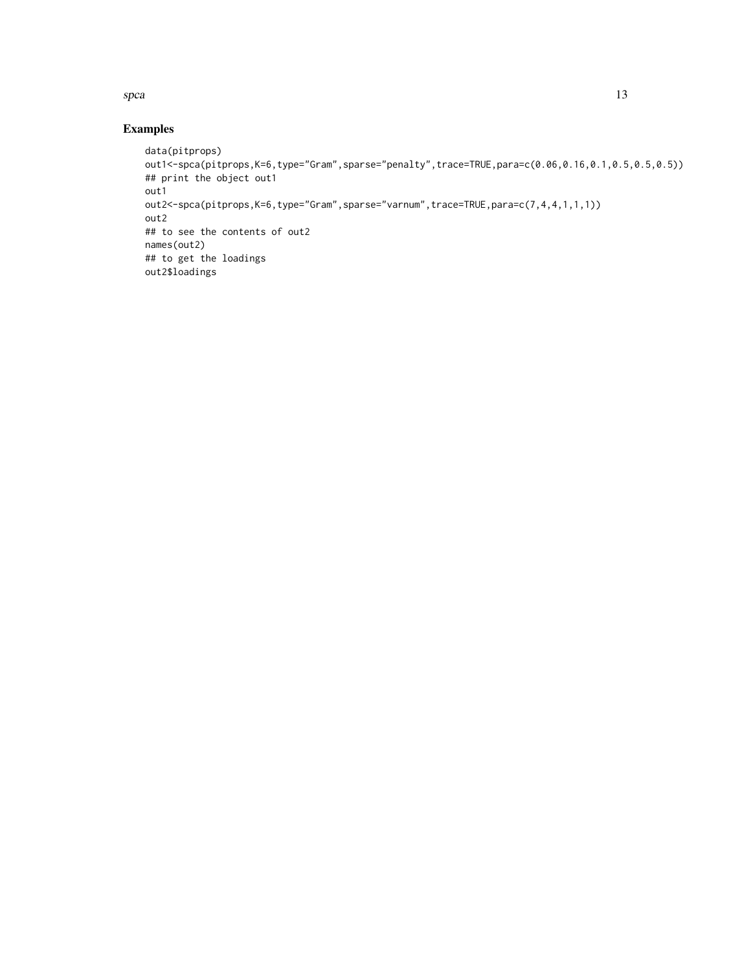#### $\mathbf{s}pca$  13

#### Examples

```
data(pitprops)
out1<-spca(pitprops,K=6,type="Gram",sparse="penalty",trace=TRUE,para=c(0.06,0.16,0.1,0.5,0.5,0.5))
## print the object out1
out1
out2<-spca(pitprops,K=6,type="Gram",sparse="varnum",trace=TRUE,para=c(7,4,4,1,1,1))
out2
## to see the contents of out2
names(out2)
## to get the loadings
out2$loadings
```